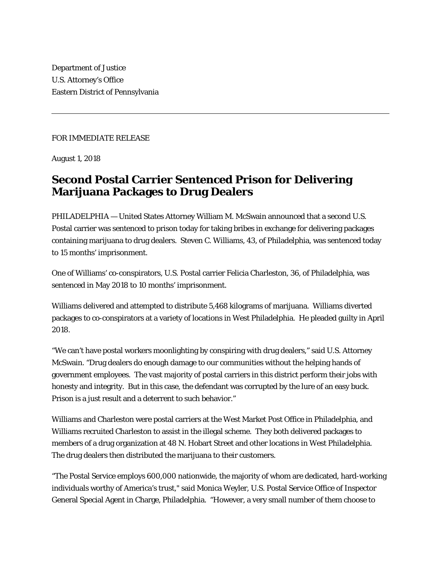Department of Justice U.S. Attorney's Office Eastern District of Pennsylvania

## FOR IMMEDIATE RELEASE

August 1, 2018

## **Second Postal Carrier Sentenced Prison for Delivering Marijuana Packages to Drug Dealers**

PHILADELPHIA — United States Attorney William M. McSwain announced that a second U.S. Postal carrier was sentenced to prison today for taking bribes in exchange for delivering packages containing marijuana to drug dealers. Steven C. Williams, 43, of Philadelphia, was sentenced today to 15 months' imprisonment.

One of Williams' co-conspirators, U.S. Postal carrier Felicia Charleston, 36, of Philadelphia, was sentenced in May 2018 to 10 months' imprisonment.

Williams delivered and attempted to distribute 5,468 kilograms of marijuana. Williams diverted packages to co-conspirators at a variety of locations in West Philadelphia. He pleaded guilty in April 2018.

"We can't have postal workers moonlighting by conspiring with drug dealers," said U.S. Attorney McSwain. "Drug dealers do enough damage to our communities without the helping hands of government employees. The vast majority of postal carriers in this district perform their jobs with honesty and integrity. But in this case, the defendant was corrupted by the lure of an easy buck. Prison is a just result and a deterrent to such behavior."

Williams and Charleston were postal carriers at the West Market Post Office in Philadelphia, and Williams recruited Charleston to assist in the illegal scheme. They both delivered packages to members of a drug organization at 48 N. Hobart Street and other locations in West Philadelphia. The drug dealers then distributed the marijuana to their customers.

"The Postal Service employs 600,000 nationwide, the majority of whom are dedicated, hard-working individuals worthy of America's trust," said Monica Weyler, U.S. Postal Service Office of Inspector General Special Agent in Charge, Philadelphia. "However, a very small number of them choose to